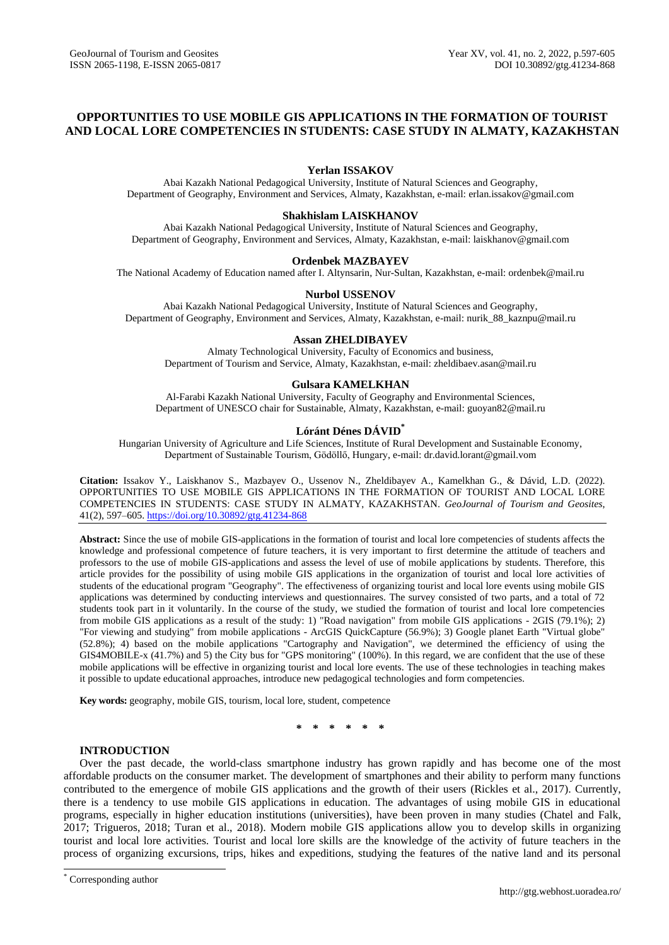# **OPPORTUNITIES TO USE MOBILE GIS APPLICATIONS IN THE FORMATION OF TOURIST AND LOCAL LORE COMPETENCIES IN STUDENTS: CASE STUDY IN ALMATY, KAZAKHSTAN**

# **Yerlan ISSAKOV**

Abai Kazakh National Pedagogical University, Institute of Natural Sciences and Geography, Department of Geography, Environment and Services, Almaty, Kazakhstan, e-mail: [erlan.issakov@gmail.com](mailto:erlan.issakov@gmail.com)

### **Shakhislam LAISKHANOV**

Abai Kazakh National Pedagogical University, Institute of Natural Sciences and Geography, Department of Geography, Environment and Services, Almaty, Kazakhstan, e-mail: laiskhanov@gmail.com

### **Ordenbek MAZBAYEV**

The National Academy of Education named after I. Altynsarin, Nur-Sultan, Kazakhstan, e-mail: ordenbek@mail.ru

# **Nurbol USSENOV**

Abai Kazakh National Pedagogical University, Institute of Natural Sciences and Geography, Department of Geography, Environment and Services, Almaty, Kazakhstan, e-mail: nurik\_88\_kaznpu@mail.ru

### **Assan ZHELDIBAYEV**

Almaty Technological University, Faculty of Economics and business, Department of Tourism and Service, Almaty, Kazakhstan, e-mail: zheldibaev.asan@mail.ru

### **Gulsara KAMELKHAN**

Al-Farabi Kazakh National University, Faculty of Geography and Environmental Sciences, Department of UNESCO chair for Sustainable, Almaty, Kazakhstan, e-mail: guoyan82@mail.ru

# **Lóránt Dénes DÁVID\***

Hungarian University of Agriculture and Life Sciences, Institute of Rural Development and Sustainable Economy, Department of Sustainable Tourism, Gödöllő, Hungary, e-mail: dr.david.lorant@gmail.vom

**Citation:** Issakov Y., Laiskhanov S., Mazbayev O., Ussenov N., Zheldibayev A., Kamelkhan G., & Dávid, L.D. (2022). OPPORTUNITIES TO USE MOBILE GIS APPLICATIONS IN THE FORMATION OF TOURIST AND LOCAL LORE COMPETENCIES IN STUDENTS: CASE STUDY IN ALMATY, KAZAKHSTAN. *GeoJournal of Tourism and Geosites*, 41(2), 597–605. <https://doi.org/10.30892/gtg.41234-868>

**Abstract:** Since the use of mobile GIS-applications in the formation of tourist and local lore competencies of students affects the knowledge and professional competence of future teachers, it is very important to first determine the attitude of teachers and professors to the use of mobile GIS-applications and assess the level of use of mobile applications by students. Therefore, this article provides for the possibility of using mobile GIS applications in the organization of tourist and local lore activities of students of the educational program "Geography". The effectiveness of organizing tourist and local lore events using mobile GIS applications was determined by conducting interviews and questionnaires. The survey consisted of two parts, and a total of 72 students took part in it voluntarily. In the course of the study, we studied the formation of tourist and local lore competencies from mobile GIS applications as a result of the study: 1) "Road navigation" from mobile GIS applications - 2GIS (79.1%); 2) "For viewing and studying" from mobile applications - ArcGIS QuickCapture (56.9%); 3) Google planet Earth "Virtual globe" (52.8%); 4) based on the mobile applications "Cartography and Navigation", we determined the efficiency of using the GIS4MOBILE-x (41.7%) and 5) the City bus for "GPS monitoring" (100%). In this regard, we are confident that the use of these mobile applications will be effective in organizing tourist and local lore events. The use of these technologies in teaching makes it possible to update educational approaches, introduce new pedagogical technologies and form competencies.

**Key words:** geography, mobile GIS, tourism, local lore, student, competence

**\* \* \* \* \* \***

# **INTRODUCTION**

Over the past decade, the world-class smartphone industry has grown rapidly and has become one of the most affordable products on the consumer market. The development of smartphones and their ability to perform many functions contributed to the emergence of mobile GIS applications and the growth of their users (Rickles et al., 2017). Currently, there is a tendency to use mobile GIS applications in education. The advantages of using mobile GIS in educational programs, especially in higher education institutions (universities), have been proven in many studies (Chatel and Falk, 2017; Trigueros, 2018; Turan et al., 2018). Modern mobile GIS applications allow you to develop skills in organizing tourist and local lore activities. Tourist and local lore skills are the knowledge of the activity of future teachers in the process of organizing excursions, trips, hikes and expeditions, studying the features of the native land and its personal

 $\overline{a}$ 

<sup>\*</sup> Corresponding author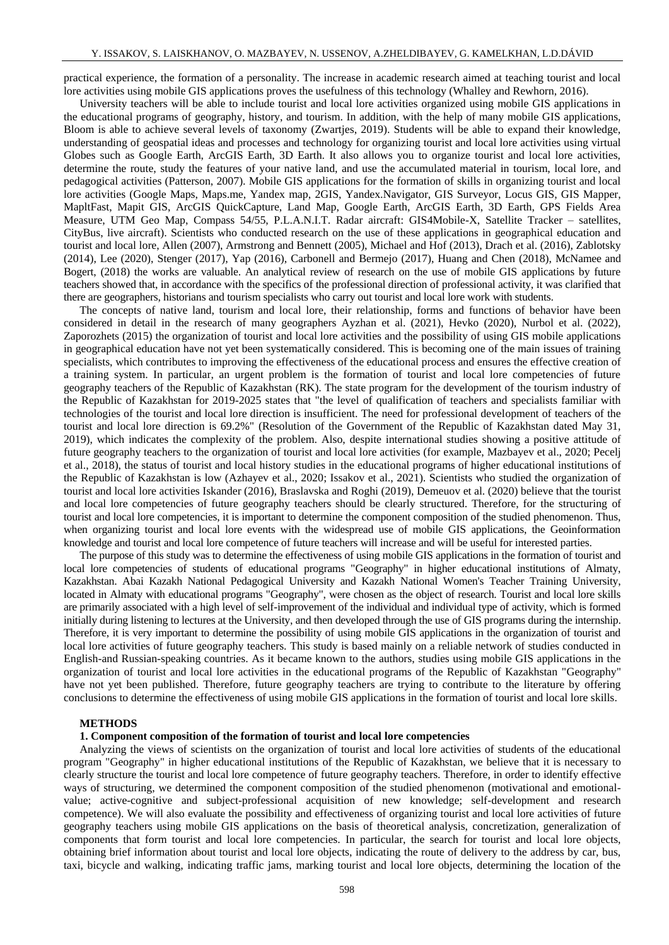practical experience, the formation of a personality. The increase in academic research aimed at teaching tourist and local lore activities using mobile GIS applications proves the usefulness of this technology (Whalley and Rewhorn, 2016).

University teachers will be able to include tourist and local lore activities organized using mobile GIS applications in the educational programs of geography, history, and tourism. In addition, with the help of many mobile GIS applications, Bloom is able to achieve several levels of taxonomy (Zwartjes, 2019). Students will be able to expand their knowledge, understanding of geospatial ideas and processes and technology for organizing tourist and local lore activities using virtual Globes such as Google Earth, ArcGIS Earth, 3D Earth. It also allows you to organize tourist and local lore activities, determine the route, study the features of your native land, and use the accumulated material in tourism, local lore, and pedagogical activities (Patterson, 2007). Mobile GIS applications for the formation of skills in organizing tourist and local lore activities (Google Maps, Maps.me, Yandex map, 2GIS, Yandex.Navigator, GIS Surveyor, Locus GIS, GIS Mapper, MapltFast, Mapit GIS, ArcGIS QuickCapture, Land Map, Google Earth, ArcGIS Earth, 3D Earth, GPS Fields Area Measure, UTM Geo Map, Compass 54/55, P.L.A.N.I.T. Radar aircraft: GIS4Mobile-X, Satellite Tracker – satellites, CityBus, live aircraft). Scientists who conducted research on the use of these applications in geographical education and tourist and local lore, Allen (2007), Armstrong and Bennett (2005), Michael and Hof (2013), Drach et al. (2016), Zablotsky (2014), Lee (2020), Stenger (2017), Yap (2016), Carbonell and Bermejo (2017), Huang and Chen (2018), McNamee and Bogert, (2018) the works are valuable. An analytical review of research on the use of mobile GIS applications by future teachers showed that, in accordance with the specifics of the professional direction of professional activity, it was clarified that there are geographers, historians and tourism specialists who carry out tourist and local lore work with students.

The concepts of native land, tourism and local lore, their relationship, forms and functions of behavior have been considered in detail in the research of many geographers Ayzhan et al. (2021), Hevko (2020), Nurbol et al. (2022), Zaporozhets (2015) the organization of tourist and local lore activities and the possibility of using GIS mobile applications in geographical education have not yet been systematically considered. This is becoming one of the main issues of training specialists, which contributes to improving the effectiveness of the educational process and ensures the effective creation of a training system. In particular, an urgent problem is the formation of tourist and local lore competencies of future geography teachers of the Republic of Kazakhstan (RK). The state program for the development of the tourism industry of the Republic of Kazakhstan for 2019-2025 states that "the level of qualification of teachers and specialists familiar with technologies of the tourist and local lore direction is insufficient. The need for professional development of teachers of the tourist and local lore direction is 69.2%" (Resolution of the Government of the Republic of Kazakhstan dated May 31, 2019), which indicates the complexity of the problem. Also, despite international studies showing a positive attitude of future geography teachers to the organization of tourist and local lore activities (for example, Mazbayev et al., 2020; Pecelj et al., 2018), the status of tourist and local history studies in the educational programs of higher educational institutions of the Republic of Kazakhstan is low (Azhayev et al., 2020; Issakov et al., 2021). Scientists who studied the organization of tourist and local lore activities Iskander (2016), Braslavska and Roghi (2019), Demeuov et al. (2020) believe that the tourist and local lore competencies of future geography teachers should be clearly structured. Therefore, for the structuring of tourist and local lore competencies, it is important to determine the component composition of the studied phenomenon. Thus, when organizing tourist and local lore events with the widespread use of mobile GIS applications, the Geoinformation knowledge and tourist and local lore competence of future teachers will increase and will be useful for interested parties.

The purpose of this study was to determine the effectiveness of using mobile GIS applications in the formation of tourist and local lore competencies of students of educational programs "Geography" in higher educational institutions of Almaty, Kazakhstan. Abai Kazakh National Pedagogical University and Kazakh National Women's Teacher Training University, located in Almaty with educational programs "Geography", were chosen as the object of research. Tourist and local lore skills are primarily associated with a high level of self-improvement of the individual and individual type of activity, which is formed initially during listening to lectures at the University, and then developed through the use of GIS programs during the internship. Therefore, it is very important to determine the possibility of using mobile GIS applications in the organization of tourist and local lore activities of future geography teachers. This study is based mainly on a reliable network of studies conducted in English-and Russian-speaking countries. As it became known to the authors, studies using mobile GIS applications in the organization of tourist and local lore activities in the educational programs of the Republic of Kazakhstan "Geography" have not yet been published. Therefore, future geography teachers are trying to contribute to the literature by offering conclusions to determine the effectiveness of using mobile GIS applications in the formation of tourist and local lore skills.

#### **METHODS**

#### **1. Component composition of the formation of tourist and local lore competencies**

Analyzing the views of scientists on the organization of tourist and local lore activities of students of the educational program "Geography" in higher educational institutions of the Republic of Kazakhstan, we believe that it is necessary to clearly structure the tourist and local lore competence of future geography teachers. Therefore, in order to identify effective ways of structuring, we determined the component composition of the studied phenomenon (motivational and emotionalvalue; active-cognitive and subject-professional acquisition of new knowledge; self-development and research competence). We will also evaluate the possibility and effectiveness of organizing tourist and local lore activities of future geography teachers using mobile GIS applications on the basis of theoretical analysis, concretization, generalization of components that form tourist and local lore competencies. In particular, the search for tourist and local lore objects, obtaining brief information about tourist and local lore objects, indicating the route of delivery to the address by car, bus, taxi, bicycle and walking, indicating traffic jams, marking tourist and local lore objects, determining the location of the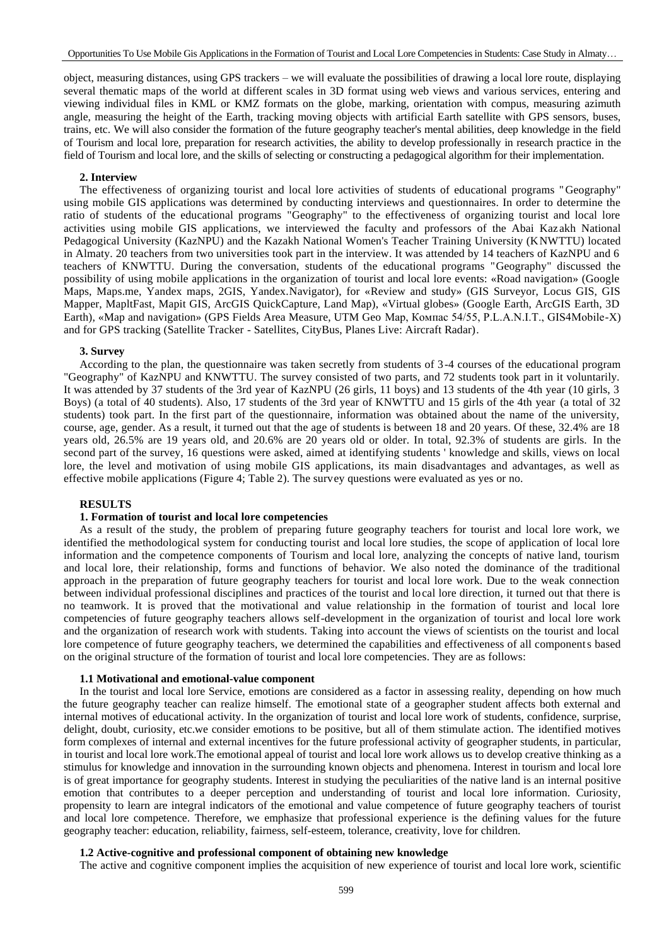object, measuring distances, using GPS trackers – we will evaluate the possibilities of drawing a local lore route, displaying several thematic maps of the world at different scales in 3D format using web views and various services, entering and viewing individual files in KML or KMZ formats on the globe, marking, orientation with compus, measuring azimuth angle, measuring the height of the Earth, tracking moving objects with artificial Earth satellite with GPS sensors, buses, trains, etc. We will also consider the formation of the future geography teacher's mental abilities, deep knowledge in the field of Tourism and local lore, preparation for research activities, the ability to develop professionally in research practice in the field of Tourism and local lore, and the skills of selecting or constructing a pedagogical algorithm for their implementation.

### **2. Interview**

The effectiveness of organizing tourist and local lore activities of students of educational programs "Geography" using mobile GIS applications was determined by conducting interviews and questionnaires. In order to determine the ratio of students of the educational programs "Geography" to the effectiveness of organizing tourist and local lore activities using mobile GIS applications, we interviewed the faculty and professors of the Abai Kaz akh National Pedagogical University (KazNPU) and the Kazakh National Women's Teacher Training University (KNWTTU) located in Almaty. 20 teachers from two universities took part in the interview. It was attended by 14 teachers of KazNPU and 6 teachers of KNWTTU. During the conversation, students of the educational programs "Geography" discussed the possibility of using mobile applications in the organization of tourist and local lore events: «Road navigation» (Google Maps, Maps.me, Yandex maps, 2GIS, Yandex.Navigator), for «Review and study» (GIS Surveyor, Locus GIS, GIS Mapper, MapltFast, Mapit GIS, ArcGIS QuickCapture, Land Map), «Virtual globes» (Google Earth, ArcGIS Earth, 3D Earth), «Map and navigation» (GPS Fields Area Measure, UTM Geo Map, Компас 54/55, P.L.A.N.I.T., GIS4Mobile-X) and for GPS tracking (Satellite Tracker - Satellites, CityBus, Planes Live: Aircraft Radar).

#### **3. Survey**

According to the plan, the questionnaire was taken secretly from students of 3-4 courses of the educational program "Geography" of KazNPU and KNWTTU. The survey consisted of two parts, and 72 students took part in it voluntarily. It was attended by 37 students of the 3rd year of KazNPU (26 girls, 11 boys) and 13 students of the 4th year (10 girls, 3 Boys) (a total of 40 students). Also, 17 students of the 3rd year of KNWTTU and 15 girls of the 4th year (a total of 32 students) took part. In the first part of the questionnaire, information was obtained about the name of the university, course, age, gender. As a result, it turned out that the age of students is between 18 and 20 years. Of these, 32.4% are 18 years old, 26.5% are 19 years old, and 20.6% are 20 years old or older. In total, 92.3% of students are girls. In the second part of the survey, 16 questions were asked, aimed at identifying students ' knowledge and skills, views on local lore, the level and motivation of using mobile GIS applications, its main disadvantages and advantages, as well as effective mobile applications (Figure 4; Table 2). The survey questions were evaluated as yes or no.

### **RESULTS**

# **1. Formation of tourist and local lore competencies**

As a result of the study, the problem of preparing future geography teachers for tourist and local lore work, we identified the methodological system for conducting tourist and local lore studies, the scope of application of local lore information and the competence components of Tourism and local lore, analyzing the concepts of native land, tourism and local lore, their relationship, forms and functions of behavior. We also noted the dominance of the traditional approach in the preparation of future geography teachers for tourist and local lore work. Due to the weak connection between individual professional disciplines and practices of the tourist and local lore direction, it turned out that there is no teamwork. It is proved that the motivational and value relationship in the formation of tourist and local lore competencies of future geography teachers allows self-development in the organization of tourist and local lore work and the organization of research work with students. Taking into account the views of scientists on the tourist and local lore competence of future geography teachers, we determined the capabilities and effectiveness of all components based on the original structure of the formation of tourist and local lore competencies. They are as follows:

#### **1.1 Motivational and emotional-value component**

In the tourist and local lore Service, emotions are considered as a factor in assessing reality, depending on how much the future geography teacher can realize himself. The emotional state of a geographer student affects both external and internal motives of educational activity. In the organization of tourist and local lore work of students, confidence, surprise, delight, doubt, curiosity, etc.we consider emotions to be positive, but all of them stimulate action. The identified motives form complexes of internal and external incentives for the future professional activity of geographer students, in particular, in tourist and local lore work.The emotional appeal of tourist and local lore work allows us to develop creative thinking as a stimulus for knowledge and innovation in the surrounding known objects and phenomena. Interest in tourism and local lore is of great importance for geography students. Interest in studying the peculiarities of the native land is an internal positive emotion that contributes to a deeper perception and understanding of tourist and local lore information. Curiosity, propensity to learn are integral indicators of the emotional and value competence of future geography teachers of tourist and local lore competence. Therefore, we emphasize that professional experience is the defining values for the future geography teacher: education, reliability, fairness, self-esteem, tolerance, creativity, love for children.

#### **1.2 Active-cognitive and professional component of obtaining new knowledge**

The active and cognitive component implies the acquisition of new experience of tourist and local lore work, scientific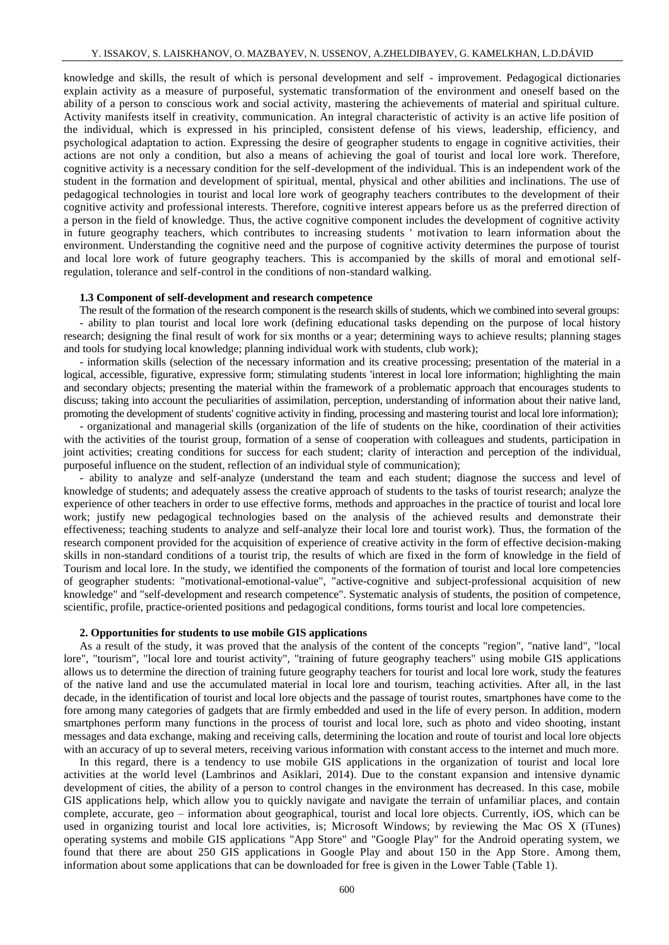knowledge and skills, the result of which is personal development and self - improvement. Pedagogical dictionaries explain activity as a measure of purposeful, systematic transformation of the environment and oneself based on the ability of a person to conscious work and social activity, mastering the achievements of material and spiritual culture. Activity manifests itself in creativity, communication. An integral characteristic of activity is an active life position of the individual, which is expressed in his principled, consistent defense of his views, leadership, efficiency, and psychological adaptation to action. Expressing the desire of geographer students to engage in cognitive activities, their actions are not only a condition, but also a means of achieving the goal of tourist and local lore work. Therefore, cognitive activity is a necessary condition for the self-development of the individual. This is an independent work of the student in the formation and development of spiritual, mental, physical and other abilities and inclinations. The use of pedagogical technologies in tourist and local lore work of geography teachers contributes to the development of their cognitive activity and professional interests. Therefore, cognitive interest appears before us as the preferred direction of a person in the field of knowledge. Thus, the active cognitive component includes the development of cognitive activity in future geography teachers, which contributes to increasing students ' motivation to learn information about the environment. Understanding the cognitive need and the purpose of cognitive activity determines the purpose of tourist and local lore work of future geography teachers. This is accompanied by the skills of moral and emotional selfregulation, tolerance and self-control in the conditions of non-standard walking.

### **1.3 Component of self-development and research competence**

The result of the formation of the research component is the research skills of students, which we combined into several groups: - ability to plan tourist and local lore work (defining educational tasks depending on the purpose of local history research; designing the final result of work for six months or a year; determining ways to achieve results; planning stages and tools for studying local knowledge; planning individual work with students, club work);

- information skills (selection of the necessary information and its creative processing; presentation of the material in a logical, accessible, figurative, expressive form; stimulating students 'interest in local lore information; highlighting the main and secondary objects; presenting the material within the framework of a problematic approach that encourages students to discuss; taking into account the peculiarities of assimilation, perception, understanding of information about their native land, promoting the development of students' cognitive activity in finding, processing and mastering tourist and local lore information);

- organizational and managerial skills (organization of the life of students on the hike, coordination of their activities with the activities of the tourist group, formation of a sense of cooperation with colleagues and students, participation in joint activities; creating conditions for success for each student; clarity of interaction and perception of the individual, purposeful influence on the student, reflection of an individual style of communication);

- ability to analyze and self-analyze (understand the team and each student; diagnose the success and level of knowledge of students; and adequately assess the creative approach of students to the tasks of tourist research; analyze the experience of other teachers in order to use effective forms, methods and approaches in the practice of tourist and local lore work; justify new pedagogical technologies based on the analysis of the achieved results and demonstrate their effectiveness; teaching students to analyze and self-analyze their local lore and tourist work). Thus, the formation of the research component provided for the acquisition of experience of creative activity in the form of effective decision-making skills in non-standard conditions of a tourist trip, the results of which are fixed in the form of knowledge in the field of Tourism and local lore. In the study, we identified the components of the formation of tourist and local lore competencies of geographer students: "motivational-emotional-value", "active-cognitive and subject-professional acquisition of new knowledge" and "self-development and research competence". Systematic analysis of students, the position of competence, scientific, profile, practice-oriented positions and pedagogical conditions, forms tourist and local lore competencies.

### **2. Opportunities for students to use mobile GIS applications**

As a result of the study, it was proved that the analysis of the content of the concepts "region", "native land", "local lore", "tourism", "local lore and tourist activity", "training of future geography teachers" using mobile GIS applications allows us to determine the direction of training future geography teachers for tourist and local lore work, study the features of the native land and use the accumulated material in local lore and tourism, teaching activities. After all, in the last decade, in the identification of tourist and local lore objects and the passage of tourist routes, smartphones have come to the fore among many categories of gadgets that are firmly embedded and used in the life of every person. In addition, modern smartphones perform many functions in the process of tourist and local lore, such as photo and video shooting, instant messages and data exchange, making and receiving calls, determining the location and route of tourist and local lore objects with an accuracy of up to several meters, receiving various information with constant access to the internet and much more.

In this regard, there is a tendency to use mobile GIS applications in the organization of tourist and local lore activities at the world level (Lambrinos and Asiklari, 2014). Due to the constant expansion and intensive dynamic development of cities, the ability of a person to control changes in the environment has decreased. In this case, mobile GIS applications help, which allow you to quickly navigate and navigate the terrain of unfamiliar places, and contain complete, accurate, geo – information about geographical, tourist and local lore objects. Currently, iOS, which can be used in organizing tourist and local lore activities, is; Microsoft Windows; by reviewing the Mac OS X (iTunes) operating systems and mobile GIS applications "App Store" and "Google Play" for the Android operating system, we found that there are about 250 GIS applications in Google Play and about 150 in the App Store. Among them, information about some applications that can be downloaded for free is given in the Lower Table (Table 1).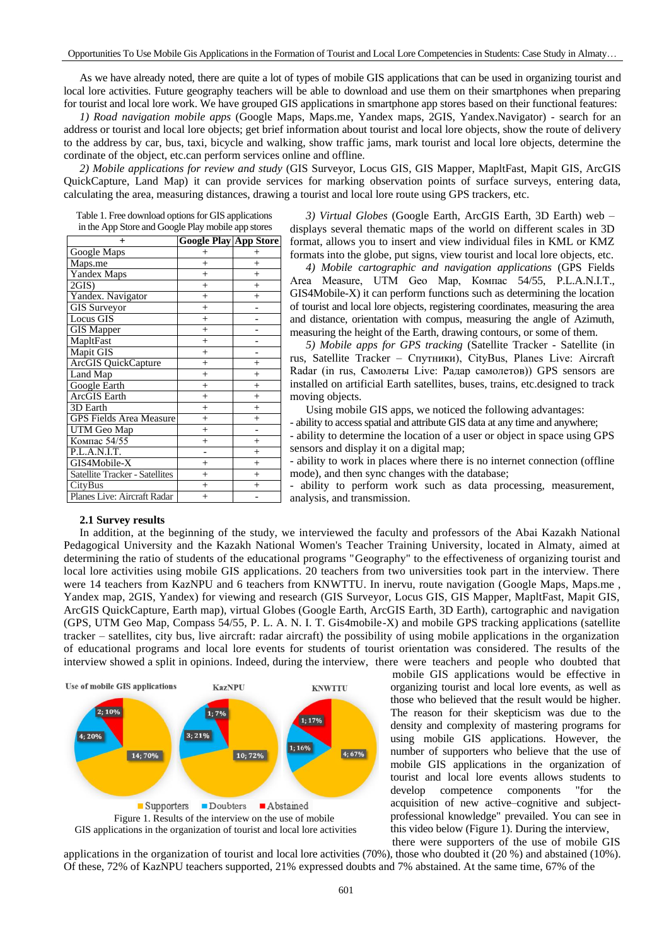As we have already noted, there are quite a lot of types of mobile GIS applications that can be used in organizing tourist and local lore activities. Future geography teachers will be able to download and use them on their smartphones when preparing for tourist and local lore work. We have grouped GIS applications in smartphone app stores based on their functional features:

*1) Road navigation mobile apps* (Google Maps, Maps.me, Yandex maps, 2GIS, Yandex.Navigator) - search for an address or tourist and local lore objects; get brief information about tourist and local lore objects, show the route of delivery to the address by car, bus, taxi, bicycle and walking, show traffic jams, mark tourist and local lore objects, determine the cordinate of the object, etc.can perform services online and offline.

*2) Mobile applications for review and study* (GIS Surveyor, Locus GIS, GIS Mapper, MapltFast, Mapit GIS, ArcGIS QuickCapture, Land Map) it can provide services for marking observation points of surface surveys, entering data, calculating the area, measuring distances, drawing a tourist and local lore route using GPS trackers, etc.

Table 1. Free download options for GIS applications in the App Store and Google Play mobile app stores

| $\pm$                                 | <b>Google Play App Store</b> |        |
|---------------------------------------|------------------------------|--------|
| Google Maps                           | $^{+}$                       | $^+$   |
| Maps.me                               | $^{+}$                       | $^{+}$ |
| Yandex Maps                           | $^{+}$                       | $^{+}$ |
| 2GIS                                  | $^{+}$                       | $^{+}$ |
| Yandex. Navigator                     | $^{+}$                       | $^{+}$ |
| <b>GIS Surveyor</b>                   | $\ddot{}$                    |        |
| Locus GIS                             | $^{+}$                       |        |
| <b>GIS Mapper</b>                     | $^{+}$                       |        |
| MapltFast                             | $^{+}$                       |        |
| Mapit GIS                             | $^{+}$                       |        |
| <b>ArcGIS</b> QuickCapture            | $\ddot{}$                    | $^{+}$ |
| Land Map                              | $^{+}$                       | $^{+}$ |
| Google Earth                          | $^{+}$                       | $^{+}$ |
| <b>ArcGIS</b> Earth                   | $^{+}$                       | $^{+}$ |
| 3D Earth                              | $^{+}$                       | $^{+}$ |
| <b>GPS Fields Area Measure</b>        | $^{+}$                       | $^{+}$ |
| UTM Geo Map                           | $^{+}$                       |        |
| Компас 54/55                          | $^{+}$                       | $^{+}$ |
| P.L.A.N.I.T.                          |                              | $^{+}$ |
| GIS4Mobile-X                          | $^{+}$                       | $^{+}$ |
| <b>Satellite Tracker - Satellites</b> | $^{+}$                       | $^{+}$ |
| CityBus                               | $^{+}$                       | $^{+}$ |
| Planes Live: Aircraft Radar           | $^{+}$                       |        |

*3) Virtual Globes* (Google Earth, ArcGIS Earth, 3D Earth) web – displays several thematic maps of the world on different scales in 3D format, allows you to insert and view individual files in KML or KMZ formats into the globe, put signs, view tourist and local lore objects, etc.

*4) Mobile cartographic and navigation applications* (GPS Fields Area Measure, UTM Geo Map, Компас 54/55, P.L.A.N.I.T., GIS4Mobile-X) it can perform functions such as determining the location of tourist and local lore objects, registering coordinates, measuring the area and distance, orientation with compus, measuring the angle of Azimuth, measuring the height of the Earth, drawing contours, or some of them.

*5) Mobile apps for GPS tracking* (Satellite Tracker - Satellite (in rus, Satellite Tracker – Спутники), CityBus, Planes Live: Aircraft Radar (in rus, Самолеты Live: Радар самолетов)) GPS sensors are installed on artificial Earth satellites, buses, trains, etc.designed to track moving objects.

Using mobile GIS apps, we noticed the following advantages:

- ability to access spatial and attribute GIS data at any time and anywhere;

- ability to determine the location of a user or object in space using GPS sensors and display it on a digital map;

- ability to work in places where there is no internet connection (offline mode), and then sync changes with the database;

- ability to perform work such as data processing, measurement, analysis, and transmission.

### **2.1 Survey results**

In addition, at the beginning of the study, we interviewed the faculty and professors of the Abai Kazakh National Pedagogical University and the Kazakh National Women's Teacher Training University, located in Almaty, aimed at determining the ratio of students of the educational programs "Geography" to the effectiveness of organizing tourist and local lore activities using mobile GIS applications. 20 teachers from two universities took part in the interview. There were 14 teachers from KazNPU and 6 teachers from KNWTTU. In inervu, route navigation (Google Maps, Maps.me , Yandex map, 2GIS, Yandex) for viewing and research (GIS Surveyor, Locus GIS, GIS Mapper, MapltFast, Mapit GIS, ArcGIS QuickCapture, Earth map), virtual Globes (Google Earth, ArcGIS Earth, 3D Earth), cartographic and navigation (GPS, UTM Geo Map, Compass 54/55, P. L. A. N. I. T. Gis4mobile-X) and mobile GPS tracking applications (satellite tracker – satellites, city bus, live aircraft: radar aircraft) the possibility of using mobile applications in the organization of educational programs and local lore events for students of tourist orientation was considered. The results of the interview showed a split in opinions. Indeed, during the interview, there were teachers and people who doubted that



 mobile GIS applications would be effective in organizing tourist and local lore events, as well as those who believed that the result would be higher. The reason for their skepticism was due to the density and complexity of mastering programs for using mobile GIS applications. However, the number of supporters who believe that the use of mobile GIS applications in the organization of tourist and local lore events allows students to develop competence components "for the acquisition of new active–cognitive and subjectprofessional knowledge" prevailed. You can see in this video below (Figure 1). During the interview, there were supporters of the use of mobile GIS

applications in the organization of tourist and local lore activities (70%), those who doubted it (20 %) and abstained (10%). Of these, 72% of KazNPU teachers supported, 21% expressed doubts and 7% abstained. At the same time, 67% of the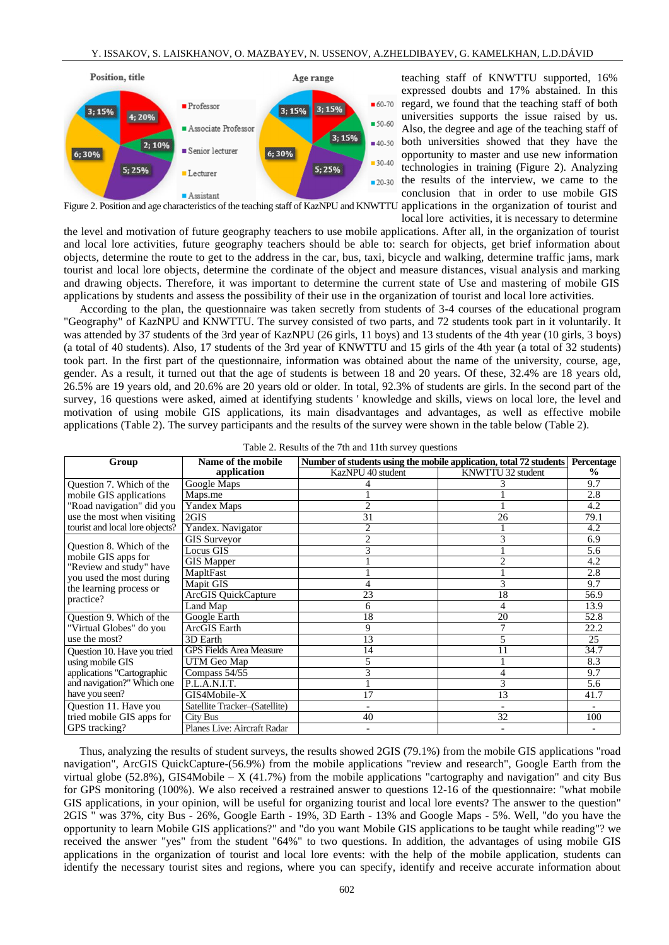

teaching staff of KNWTTU supported, 16% expressed doubts and 17% abstained. In this regard, we found that the teaching staff of both universities supports the issue raised by us. Also, the degree and age of the teaching staff of both universities showed that they have the opportunity to master and use new information technologies in training (Figure 2). Analyzing the results of the interview, we came to the conclusion that in order to use mobile GIS

Figure 2. Position and age characteristics of the teaching staff of KazNPU and KNWTTU applications in the organization of tourist and

local lore activities, it is necessary to determine the level and motivation of future geography teachers to use mobile applications. After all, in the organization of tourist and local lore activities, future geography teachers should be able to: search for objects, get brief information about objects, determine the route to get to the address in the car, bus, taxi, bicycle and walking, determine traffic jams, mark tourist and local lore objects, determine the cordinate of the object and measure distances, visual analysis and marking and drawing objects. Therefore, it was important to determine the current state of Use and mastering of mobile GIS applications by students and assess the possibility of their use in the organization of tourist and local lore activities.

According to the plan, the questionnaire was taken secretly from students of 3-4 courses of the educational program "Geography" of KazNPU and KNWTTU. The survey consisted of two parts, and 72 students took part in it voluntarily. It was attended by 37 students of the 3rd year of KazNPU (26 girls, 11 boys) and 13 students of the 4th year (10 girls, 3 boys) (a total of 40 students). Also, 17 students of the 3rd year of KNWTTU and 15 girls of the 4th year (a total of 32 students) took part. In the first part of the questionnaire, information was obtained about the name of the university, course, age, gender. As a result, it turned out that the age of students is between 18 and 20 years. Of these, 32.4% are 18 years old, 26.5% are 19 years old, and 20.6% are 20 years old or older. In total, 92.3% of students are girls. In the second part of the survey, 16 questions were asked, aimed at identifying students ' knowledge and skills, views on local lore, the level and motivation of using mobile GIS applications, its main disadvantages and advantages, as well as effective mobile applications (Table 2). The survey participants and the results of the survey were shown in the table below (Table 2).

| Group                                                                                                                                          | Name of the mobile             | Number of students using the mobile application, total 72 students | Percentage        |               |
|------------------------------------------------------------------------------------------------------------------------------------------------|--------------------------------|--------------------------------------------------------------------|-------------------|---------------|
|                                                                                                                                                | application                    | KazNPU 40 student                                                  | KNWTTU 32 student | $\frac{0}{0}$ |
| Question 7. Which of the                                                                                                                       | Google Maps                    |                                                                    |                   | 9.7           |
| mobile GIS applications                                                                                                                        | Maps.me                        |                                                                    |                   | 2.8           |
| "Road navigation" did you                                                                                                                      | Yandex Maps                    | $\overline{c}$                                                     |                   | 4.2           |
| use the most when visiting<br>tourist and local lore objects?                                                                                  | 2GIS                           | 31                                                                 | 26                | 79.1          |
|                                                                                                                                                | Yandex. Navigator              | $\overline{2}$                                                     |                   | 4.2           |
| Question 8. Which of the<br>mobile GIS apps for<br>"Review and study" have<br>you used the most during<br>the learning process or<br>practice? | <b>GIS Surveyor</b>            | $\overline{c}$                                                     |                   | 6.9           |
|                                                                                                                                                | Locus GIS                      | 3                                                                  |                   | 5.6           |
|                                                                                                                                                | <b>GIS</b> Mapper              |                                                                    |                   | 4.2           |
|                                                                                                                                                | MapltFast                      |                                                                    |                   | 2.8           |
|                                                                                                                                                | Mapit GIS                      |                                                                    |                   | 9.7           |
|                                                                                                                                                | <b>ArcGIS QuickCapture</b>     | 23                                                                 | 18                | 56.9          |
|                                                                                                                                                | Land Map                       | 6                                                                  | 4                 | 13.9          |
| Question 9. Which of the<br>"Virtual Globes" do you<br>use the most?                                                                           | Google Earth                   | 18                                                                 | 20                | 52.8          |
|                                                                                                                                                | <b>ArcGIS</b> Earth            | 9                                                                  |                   | 22.2          |
|                                                                                                                                                | 3D Earth                       | 13                                                                 |                   | 25            |
| Question 10. Have you tried<br>using mobile GIS<br>applications "Cartographic<br>and navigation?" Which one<br>have you seen?                  | <b>GPS Fields Area Measure</b> | 14                                                                 | 11                | 34.7          |
|                                                                                                                                                | UTM Geo Map                    | 5                                                                  |                   | 8.3           |
|                                                                                                                                                | Compass $54/55$                | 3                                                                  | 4                 | 9.7           |
|                                                                                                                                                | P.L.A.N.I.T.                   |                                                                    | 3                 | 5.6           |
|                                                                                                                                                | GIS4Mobile-X                   | 17                                                                 | 13                | 41.7          |
| Question 11. Have you                                                                                                                          | Satellite Tracker-(Satellite)  | $\overline{\phantom{0}}$                                           |                   |               |
| tried mobile GIS apps for                                                                                                                      | <b>City Bus</b>                | 40                                                                 | 32                | 100           |
| GPS tracking?                                                                                                                                  | Planes Live: Aircraft Radar    |                                                                    |                   |               |

| Table 2. Results of the 7th and 11th survey questions |  |  |  |  |
|-------------------------------------------------------|--|--|--|--|
|-------------------------------------------------------|--|--|--|--|

Thus, analyzing the results of student surveys, the results showed 2GIS (79.1%) from the mobile GIS applications "road navigation", ArcGIS QuickCapture-(56.9%) from the mobile applications "review and research", Google Earth from the virtual globe  $(52.8\%)$ , GIS4Mobile – X  $(41.7\%)$  from the mobile applications "cartography and navigation" and city Bus for GPS monitoring (100%). We also received a restrained answer to questions 12-16 of the questionnaire: "what mobile GIS applications, in your opinion, will be useful for organizing tourist and local lore events? The answer to the question" 2GIS " was 37%, city Bus - 26%, Google Earth - 19%, 3D Earth - 13% and Google Maps - 5%. Well, "do you have the opportunity to learn Mobile GIS applications?" and "do you want Mobile GIS applications to be taught while reading"? we received the answer "yes" from the student "64%" to two questions. In addition, the advantages of using mobile GIS applications in the organization of tourist and local lore events: with the help of the mobile application, students can identify the necessary tourist sites and regions, where you can specify, identify and receive accurate information about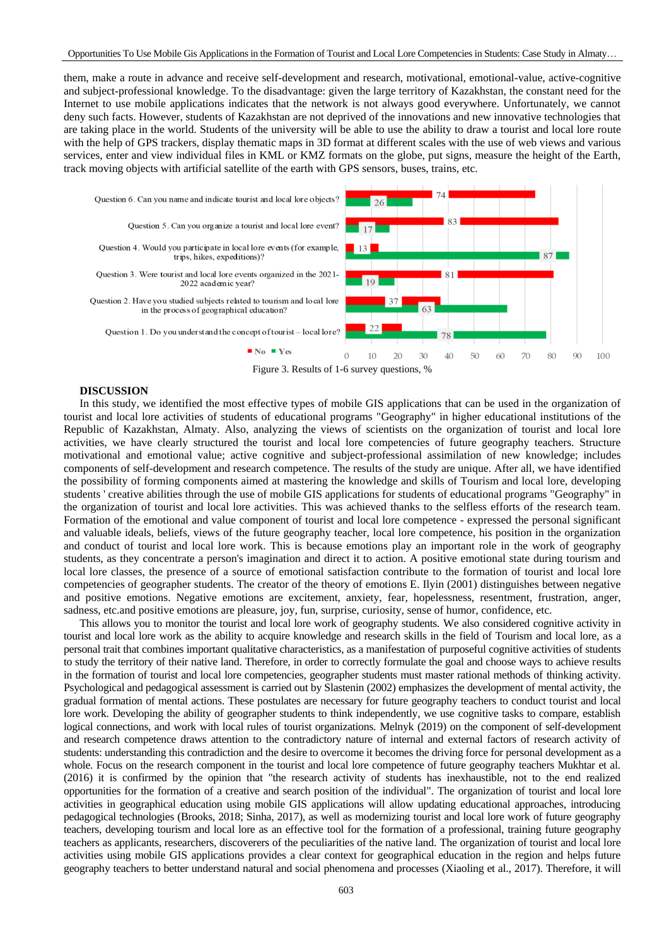them, make a route in advance and receive self-development and research, motivational, emotional-value, active-cognitive and subject-professional knowledge. To the disadvantage: given the large territory of Kazakhstan, the constant need for the Internet to use mobile applications indicates that the network is not always good everywhere. Unfortunately, we cannot deny such facts. However, students of Kazakhstan are not deprived of the innovations and new innovative technologies that are taking place in the world. Students of the university will be able to use the ability to draw a tourist and local lore route with the help of GPS trackers, display thematic maps in 3D format at different scales with the use of web views and various services, enter and view individual files in KML or KMZ formats on the globe, put signs, measure the height of the Earth, track moving objects with artificial satellite of the earth with GPS sensors, buses, trains, etc.



Figure 3. Results of 1-6 survey questions, %

# **DISCUSSION**

In this study, we identified the most effective types of mobile GIS applications that can be used in the organization of tourist and local lore activities of students of educational programs "Geography" in higher educational institutions of the Republic of Kazakhstan, Almaty. Also, analyzing the views of scientists on the organization of tourist and local lore activities, we have clearly structured the tourist and local lore competencies of future geography teachers. Structure motivational and emotional value; active cognitive and subject-professional assimilation of new knowledge; includes components of self-development and research competence. The results of the study are unique. After all, we have identified the possibility of forming components aimed at mastering the knowledge and skills of Tourism and local lore, developing students ' creative abilities through the use of mobile GIS applications for students of educational programs "Geography" in the organization of tourist and local lore activities. This was achieved thanks to the selfless efforts of the research team. Formation of the emotional and value component of tourist and local lore competence - expressed the personal significant and valuable ideals, beliefs, views of the future geography teacher, local lore competence, his position in the organization and conduct of tourist and local lore work. This is because emotions play an important role in the work of geography students, as they concentrate a person's imagination and direct it to action. A positive emotional state during tourism and local lore classes, the presence of a source of emotional satisfaction contribute to the formation of tourist and local lore competencies of geographer students. The creator of the theory of emotions E. Ilyin (2001) distinguishes between negative and positive emotions. Negative emotions are excitement, anxiety, fear, hopelessness, resentment, frustration, anger, sadness, etc.and positive emotions are pleasure, joy, fun, surprise, curiosity, sense of humor, confidence, etc.

This allows you to monitor the tourist and local lore work of geography students. We also considered cognitive activity in tourist and local lore work as the ability to acquire knowledge and research skills in the field of Tourism and local lore, as a personal trait that combines important qualitative characteristics, as a manifestation of purposeful cognitive activities of students to study the territory of their native land. Therefore, in order to correctly formulate the goal and choose ways to achieve results in the formation of tourist and local lore competencies, geographer students must master rational methods of thinking activity. Psychological and pedagogical assessment is carried out by Slastenin (2002) emphasizes the development of mental activity, the gradual formation of mental actions. These postulates are necessary for future geography teachers to conduct tourist and local lore work. Developing the ability of geographer students to think independently, we use cognitive tasks to compare, establish logical connections, and work with local rules of tourist organizations. Melnyk (2019) on the component of self-development and research competence draws attention to the contradictory nature of internal and external factors of research activity of students: understanding this contradiction and the desire to overcome it becomes the driving force for personal development as a whole. Focus on the research component in the tourist and local lore competence of future geography teachers Mukhtar et al. (2016) it is confirmed by the opinion that "the research activity of students has inexhaustible, not to the end realized opportunities for the formation of a creative and search position of the individual". The organization of tourist and local lore activities in geographical education using mobile GIS applications will allow updating educational approaches, introducing pedagogical technologies (Brooks, 2018; Sinha, 2017), as well as modernizing tourist and local lore work of future geography teachers, developing tourism and local lore as an effective tool for the formation of a professional, training future geography teachers as applicants, researchers, discoverers of the peculiarities of the native land. The organization of tourist and local lore activities using mobile GIS applications provides a clear context for geographical education in the region and helps future geography teachers to better understand natural and social phenomena and processes (Xiaoling et al., 2017). Therefore, it will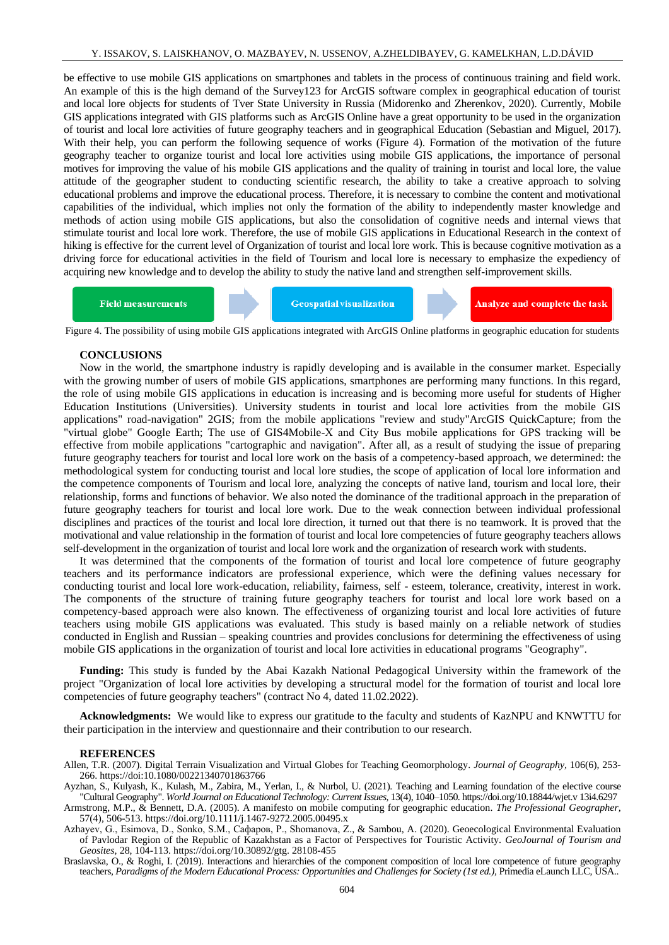be effective to use mobile GIS applications on smartphones and tablets in the process of continuous training and field work. An example of this is the high demand of the Survey123 for ArcGIS software complex in geographical education of tourist and local lore objects for students of Tver State University in Russia (Midorenko and Zherenkov, 2020). Currently, Mobile GIS applications integrated with GIS platforms such as ArcGIS Online have a great opportunity to be used in the organization of tourist and local lore activities of future geography teachers and in geographical Education (Sebastian and Miguel, 2017). With their help, you can perform the following sequence of works (Figure 4). Formation of the motivation of the future geography teacher to organize tourist and local lore activities using mobile GIS applications, the importance of personal motives for improving the value of his mobile GIS applications and the quality of training in tourist and local lore, the value attitude of the geographer student to conducting scientific research, the ability to take a creative approach to solving educational problems and improve the educational process. Therefore, it is necessary to combine the content and motivational capabilities of the individual, which implies not only the formation of the ability to independently master knowledge and methods of action using mobile GIS applications, but also the consolidation of cognitive needs and internal views that stimulate tourist and local lore work. Therefore, the use of mobile GIS applications in Educational Research in the context of hiking is effective for the current level of Organization of tourist and local lore work. This is because cognitive motivation as a driving force for educational activities in the field of Tourism and local lore is necessary to emphasize the expediency of acquiring new knowledge and to develop the ability to study the native land and strengthen self-improvement skills.

**Geospatial visualization Field measurements Analyze and complete the task** 

Figure 4. The possibility of using mobile GIS applications integrated with ArcGIS Online platforms in geographic education for students

#### **CONCLUSIONS**

Now in the world, the smartphone industry is rapidly developing and is available in the consumer market. Especially with the growing number of users of mobile GIS applications, smartphones are performing many functions. In this regard, the role of using mobile GIS applications in education is increasing and is becoming more useful for students of Higher Education Institutions (Universities). University students in tourist and local lore activities from the mobile GIS applications" road-navigation" 2GIS; from the mobile applications "review and study"ArcGIS QuickCapture; from the "virtual globe" Google Earth; The use of GIS4Mobile-X and Сity Bus mobile applications for GPS tracking will be effective from mobile applications "cartographic and navigation". After all, as a result of studying the issue of preparing future geography teachers for tourist and local lore work on the basis of a competency-based approach, we determined: the methodological system for conducting tourist and local lore studies, the scope of application of local lore information and the competence components of Tourism and local lore, analyzing the concepts of native land, tourism and local lore, their relationship, forms and functions of behavior. We also noted the dominance of the traditional approach in the preparation of future geography teachers for tourist and local lore work. Due to the weak connection between individual professional disciplines and practices of the tourist and local lore direction, it turned out that there is no teamwork. It is proved that the motivational and value relationship in the formation of tourist and local lore competencies of future geography teachers allows self-development in the organization of tourist and local lore work and the organization of research work with students.

It was determined that the components of the formation of tourist and local lore competence of future geography teachers and its performance indicators are professional experience, which were the defining values necessary for conducting tourist and local lore work-education, reliability, fairness, self - esteem, tolerance, creativity, interest in work. The components of the structure of training future geography teachers for tourist and local lore work based on a competency-based approach were also known. The effectiveness of organizing tourist and local lore activities of future teachers using mobile GIS applications was evaluated. This study is based mainly on a reliable network of studies conducted in English and Russian – speaking countries and provides conclusions for determining the effectiveness of using mobile GIS applications in the organization of tourist and local lore activities in educational programs "Geography".

**Funding:** This study is funded by the Abai Kazakh National Pedagogical University within the framework of the project "Organization of local lore activities by developing a structural model for the formation of tourist and local lore competencies of future geography teachers" (contract No 4, dated 11.02.2022).

**Acknowledgments:** We would like to express our gratitude to the faculty and students of KazNPU and KNWTTU for their participation in the interview and questionnaire and their contribution to our research.

#### **REFERENCES**

- Allen, T.R. (2007). Digital Terrain Visualization and Virtual Globes for Teaching Geomorphology. *Journal of Geography,* 106(6), 253- 266. https://doi:10.1080/00221340701863766
- Ayzhan, S., Kulyash, K., Kulash, M., Zabira, M., Yerlan, I., & Nurbol, U. (2021). Teaching and Learning foundation of the elective course "Cultural Geography". *World Journal on Educational Technology: Current Issues,* 13(4), 1040–1050. https://doi.org/10.18844/wjet.v 13i4.6297

Armstrong, M.P., & Bennett, D.A. (2005). A manifesto on mobile computing for geographic education. *The Professional Geographer,* 57(4), 506-513. https://doi.org/10.1111/j.1467-9272.2005.00495.x

Azhayev, G., Esimova, D., Sonko, S.M., Сафаров, P., Shomanova, Z., & Sambou, A. (2020). Geoecological Environmental Evaluation of Pavlodar Region of the Republic of Kazakhstan as a Factor of Perspectives for Touristic Activity. *GeoJournal of Tourism and Geosites,* 28, 104-113. https://doi.org/10.30892/gtg. 28108-455

Braslavska, O., & Roghi, I. (2019). Interactions and hierarchies of the component composition of local lore competence of future geography teachers, *Paradigms of the Modern Educational Process: Opportunities and Challenges for Society (1st ed.),* Primedia eLaunch LLC, USA..